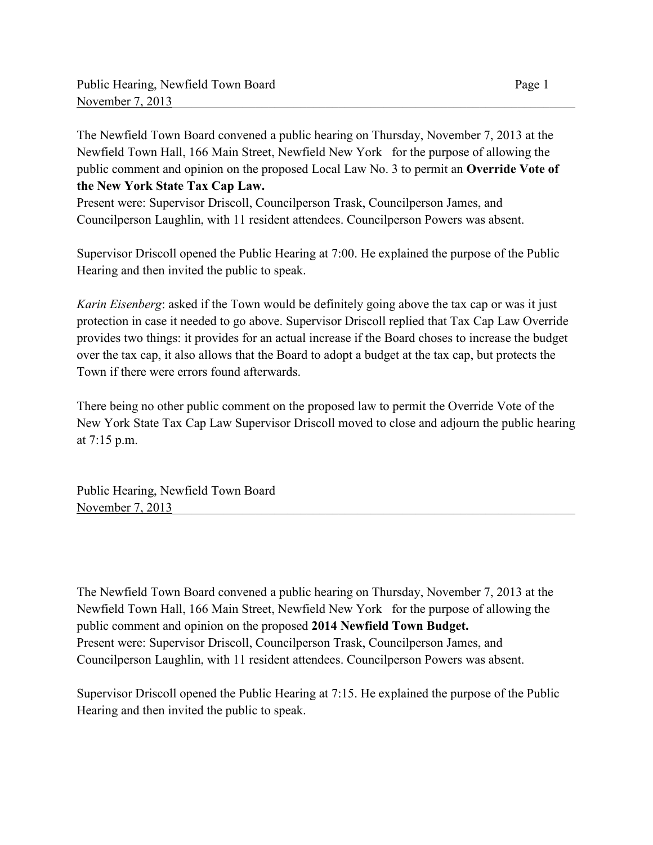The Newfield Town Board convened a public hearing on Thursday, November 7, 2013 at the Newfield Town Hall, 166 Main Street, Newfield New York for the purpose of allowing the public comment and opinion on the proposed Local Law No. 3 to permit an **Override Vote of the New York State Tax Cap Law.** 

Present were: Supervisor Driscoll, Councilperson Trask, Councilperson James, and Councilperson Laughlin, with 11 resident attendees. Councilperson Powers was absent.

Supervisor Driscoll opened the Public Hearing at 7:00. He explained the purpose of the Public Hearing and then invited the public to speak.

*Karin Eisenberg*: asked if the Town would be definitely going above the tax cap or was it just protection in case it needed to go above. Supervisor Driscoll replied that Tax Cap Law Override provides two things: it provides for an actual increase if the Board choses to increase the budget over the tax cap, it also allows that the Board to adopt a budget at the tax cap, but protects the Town if there were errors found afterwards.

There being no other public comment on the proposed law to permit the Override Vote of the New York State Tax Cap Law Supervisor Driscoll moved to close and adjourn the public hearing at 7:15 p.m.

Public Hearing, Newfield Town Board November 7, 2013

The Newfield Town Board convened a public hearing on Thursday, November 7, 2013 at the Newfield Town Hall, 166 Main Street, Newfield New York for the purpose of allowing the public comment and opinion on the proposed **2014 Newfield Town Budget.** Present were: Supervisor Driscoll, Councilperson Trask, Councilperson James, and Councilperson Laughlin, with 11 resident attendees. Councilperson Powers was absent.

Supervisor Driscoll opened the Public Hearing at 7:15. He explained the purpose of the Public Hearing and then invited the public to speak.